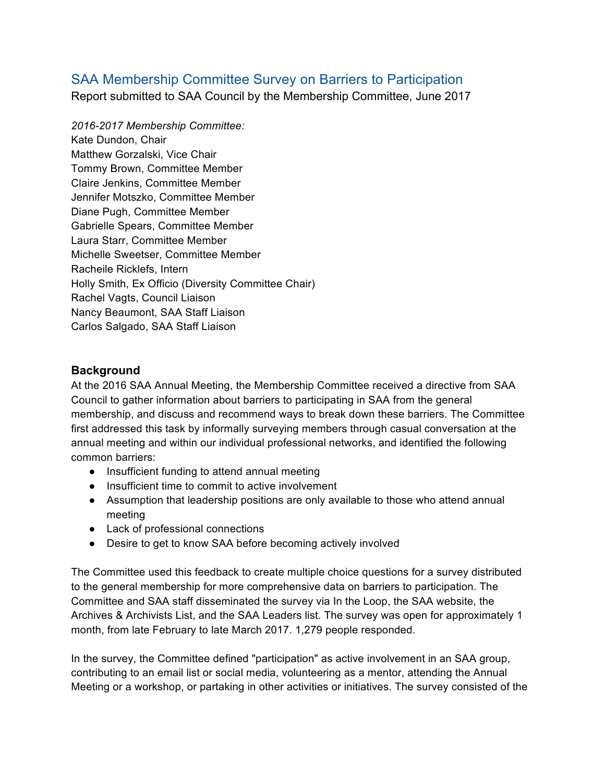# SAA Membership Committee Survey on Barriers to Participation

Report submitted to SAA Council by the Membership Committee, June 2017

*2016-2017 Membership Committee:* Kate Dundon, Chair Matthew Gorzalski, Vice Chair Tommy Brown, Committee Member Claire Jenkins, Committee Member Jennifer Motszko, Committee Member Diane Pugh, Committee Member Gabrielle Spears, Committee Member Laura Starr, Committee Member Michelle Sweetser, Committee Member Racheile Ricklefs, Intern Holly Smith, Ex Officio (Diversity Committee Chair) Rachel Vagts, Council Liaison Nancy Beaumont, SAA Staff Liaison Carlos Salgado, SAA Staff Liaison

# **Background**

At the 2016 SAA Annual Meeting, the Membership Committee received a directive from SAA Council to gather information about barriers to participating in SAA from the general membership, and discuss and recommend ways to break down these barriers. The Committee first addressed this task by informally surveying members through casual conversation at the annual meeting and within our individual professional networks, and identified the following common barriers:

- Insufficient funding to attend annual meeting
- Insufficient time to commit to active involvement
- Assumption that leadership positions are only available to those who attend annual meeting
- Lack of professional connections
- Desire to get to know SAA before becoming actively involved

The Committee used this feedback to create multiple choice questions for a survey distributed to the general membership for more comprehensive data on barriers to participation. The Committee and SAA staff disseminated the survey via In the Loop, the SAA website, the Archives & Archivists List, and the SAA Leaders list. The survey was open for approximately 1 month, from late February to late March 2017. 1,279 people responded.

In the survey, the Committee defined "participation" as active involvement in an SAA group, contributing to an email list or social media, volunteering as a mentor, attending the Annual Meeting or a workshop, or partaking in other activities or initiatives. The survey consisted of the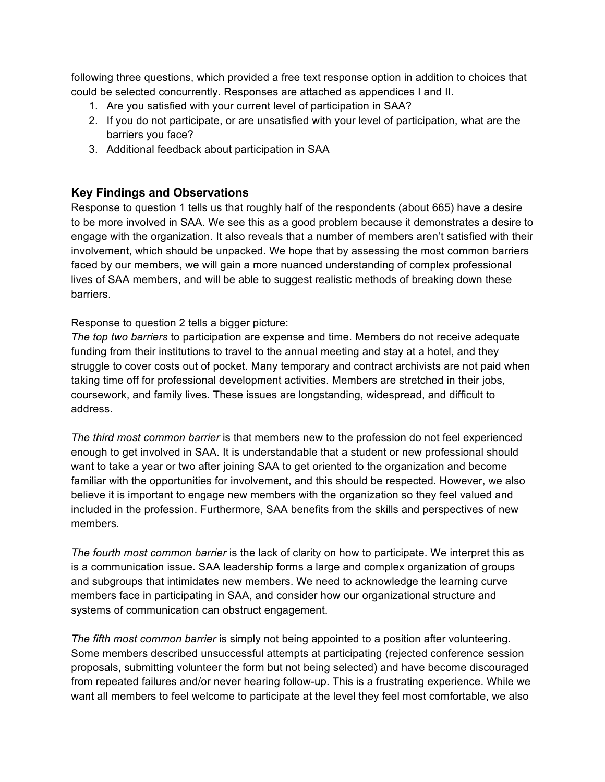following three questions, which provided a free text response option in addition to choices that could be selected concurrently. Responses are attached as appendices I and II.

- 1. Are you satisfied with your current level of participation in SAA?
- 2. If you do not participate, or are unsatisfied with your level of participation, what are the barriers you face?
- 3. Additional feedback about participation in SAA

#### **Key Findings and Observations**

Response to question 1 tells us that roughly half of the respondents (about 665) have a desire to be more involved in SAA. We see this as a good problem because it demonstrates a desire to engage with the organization. It also reveals that a number of members aren't satisfied with their involvement, which should be unpacked. We hope that by assessing the most common barriers faced by our members, we will gain a more nuanced understanding of complex professional lives of SAA members, and will be able to suggest realistic methods of breaking down these barriers.

Response to question 2 tells a bigger picture:

*The top two barriers* to participation are expense and time. Members do not receive adequate funding from their institutions to travel to the annual meeting and stay at a hotel, and they struggle to cover costs out of pocket. Many temporary and contract archivists are not paid when taking time off for professional development activities. Members are stretched in their jobs, coursework, and family lives. These issues are longstanding, widespread, and difficult to address.

*The third most common barrier* is that members new to the profession do not feel experienced enough to get involved in SAA. It is understandable that a student or new professional should want to take a year or two after joining SAA to get oriented to the organization and become familiar with the opportunities for involvement, and this should be respected. However, we also believe it is important to engage new members with the organization so they feel valued and included in the profession. Furthermore, SAA benefits from the skills and perspectives of new members.

*The fourth most common barrier* is the lack of clarity on how to participate. We interpret this as is a communication issue. SAA leadership forms a large and complex organization of groups and subgroups that intimidates new members. We need to acknowledge the learning curve members face in participating in SAA, and consider how our organizational structure and systems of communication can obstruct engagement.

*The fifth most common barrier* is simply not being appointed to a position after volunteering. Some members described unsuccessful attempts at participating (rejected conference session proposals, submitting volunteer the form but not being selected) and have become discouraged from repeated failures and/or never hearing follow-up. This is a frustrating experience. While we want all members to feel welcome to participate at the level they feel most comfortable, we also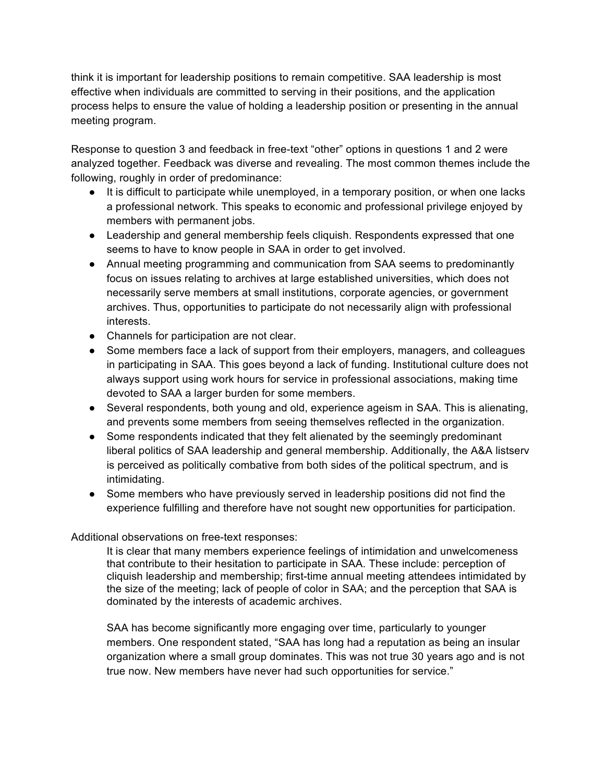think it is important for leadership positions to remain competitive. SAA leadership is most effective when individuals are committed to serving in their positions, and the application process helps to ensure the value of holding a leadership position or presenting in the annual meeting program.

Response to question 3 and feedback in free-text "other" options in questions 1 and 2 were analyzed together. Feedback was diverse and revealing. The most common themes include the following, roughly in order of predominance:

- It is difficult to participate while unemployed, in a temporary position, or when one lacks a professional network. This speaks to economic and professional privilege enjoyed by members with permanent jobs.
- Leadership and general membership feels cliquish. Respondents expressed that one seems to have to know people in SAA in order to get involved.
- Annual meeting programming and communication from SAA seems to predominantly focus on issues relating to archives at large established universities, which does not necessarily serve members at small institutions, corporate agencies, or government archives. Thus, opportunities to participate do not necessarily align with professional interests.
- Channels for participation are not clear.
- Some members face a lack of support from their employers, managers, and colleagues in participating in SAA. This goes beyond a lack of funding. Institutional culture does not always support using work hours for service in professional associations, making time devoted to SAA a larger burden for some members.
- Several respondents, both young and old, experience ageism in SAA. This is alienating, and prevents some members from seeing themselves reflected in the organization.
- Some respondents indicated that they felt alienated by the seemingly predominant liberal politics of SAA leadership and general membership. Additionally, the A&A listserv is perceived as politically combative from both sides of the political spectrum, and is intimidating.
- Some members who have previously served in leadership positions did not find the experience fulfilling and therefore have not sought new opportunities for participation.

## Additional observations on free-text responses:

It is clear that many members experience feelings of intimidation and unwelcomeness that contribute to their hesitation to participate in SAA. These include: perception of cliquish leadership and membership; first-time annual meeting attendees intimidated by the size of the meeting; lack of people of color in SAA; and the perception that SAA is dominated by the interests of academic archives.

SAA has become significantly more engaging over time, particularly to younger members. One respondent stated, "SAA has long had a reputation as being an insular organization where a small group dominates. This was not true 30 years ago and is not true now. New members have never had such opportunities for service."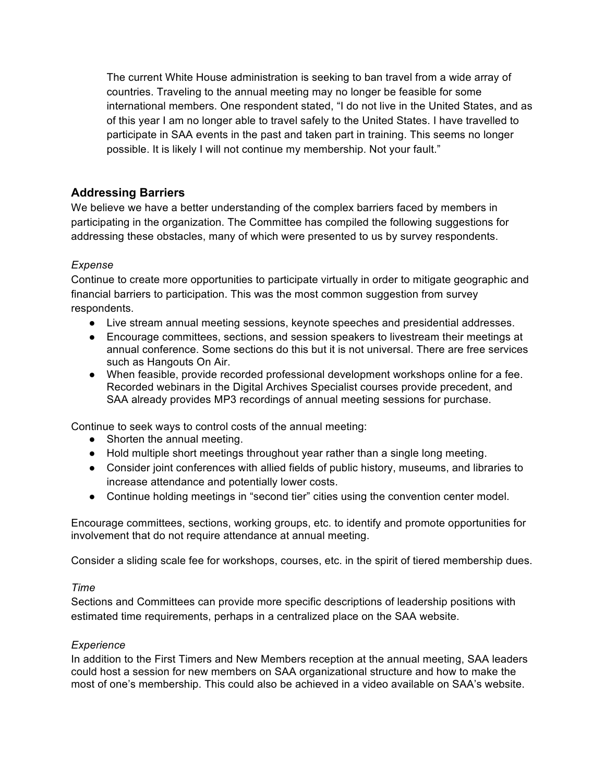The current White House administration is seeking to ban travel from a wide array of countries. Traveling to the annual meeting may no longer be feasible for some international members. One respondent stated, "I do not live in the United States, and as of this year I am no longer able to travel safely to the United States. I have travelled to participate in SAA events in the past and taken part in training. This seems no longer possible. It is likely I will not continue my membership. Not your fault."

# **Addressing Barriers**

We believe we have a better understanding of the complex barriers faced by members in participating in the organization. The Committee has compiled the following suggestions for addressing these obstacles, many of which were presented to us by survey respondents.

## *Expense*

Continue to create more opportunities to participate virtually in order to mitigate geographic and financial barriers to participation. This was the most common suggestion from survey respondents.

- Live stream annual meeting sessions, keynote speeches and presidential addresses.
- Encourage committees, sections, and session speakers to livestream their meetings at annual conference. Some sections do this but it is not universal. There are free services such as Hangouts On Air.
- When feasible, provide recorded professional development workshops online for a fee. Recorded webinars in the Digital Archives Specialist courses provide precedent, and SAA already provides MP3 recordings of annual meeting sessions for purchase.

Continue to seek ways to control costs of the annual meeting:

- Shorten the annual meeting.
- Hold multiple short meetings throughout year rather than a single long meeting.
- Consider joint conferences with allied fields of public history, museums, and libraries to increase attendance and potentially lower costs.
- Continue holding meetings in "second tier" cities using the convention center model.

Encourage committees, sections, working groups, etc. to identify and promote opportunities for involvement that do not require attendance at annual meeting.

Consider a sliding scale fee for workshops, courses, etc. in the spirit of tiered membership dues.

## *Time*

Sections and Committees can provide more specific descriptions of leadership positions with estimated time requirements, perhaps in a centralized place on the SAA website.

## *Experience*

In addition to the First Timers and New Members reception at the annual meeting, SAA leaders could host a session for new members on SAA organizational structure and how to make the most of one's membership. This could also be achieved in a video available on SAA's website.